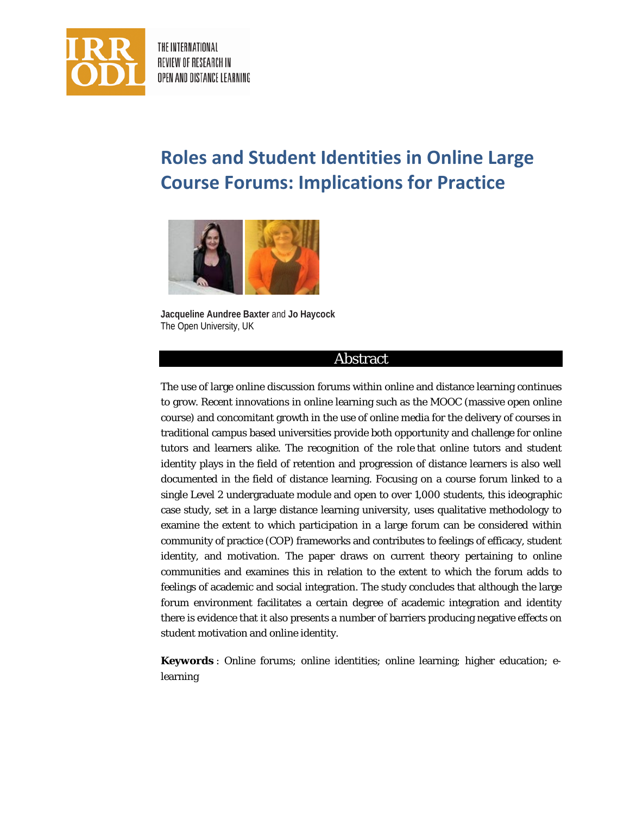

THE INTERNATIONAL REVIEW OF RESEARCH IN OPEN AND DISTANCE LEARNING

# **Roles and Student Identities in Online Large Course Forums: Implications for Practice**



**Jacqueline Aundree Baxter** and **Jo Haycock** The Open University, UK

### Abstract

The use of large online discussion forums within online and distance learning continues to grow. Recent innovations in online learning such as the MOOC (massive open online course) and concomitant growth in the use of online media for the delivery of courses in traditional campus based universities provide both opportunity and challenge for online tutors and learners alike. The recognition of the role that online tutors and student identity plays in the field of retention and progression of distance learners is also well documented in the field of distance learning. Focusing on a course forum linked to a single Level 2 undergraduate module and open to over 1,000 students, this ideographic case study, set in a large distance learning university, uses qualitative methodology to examine the extent to which participation in a large forum can be considered within community of practice (COP) frameworks and contributes to feelings of efficacy, student identity, and motivation. The paper draws on current theory pertaining to online communities and examines this in relation to the extent to which the forum adds to feelings of academic and social integration. The study concludes that although the large forum environment facilitates a certain degree of academic integration and identity there is evidence that it also presents a number of barriers producing negative effects on student motivation and online identity.

**Keywords** : Online forums; online identities; online learning; higher education; elearning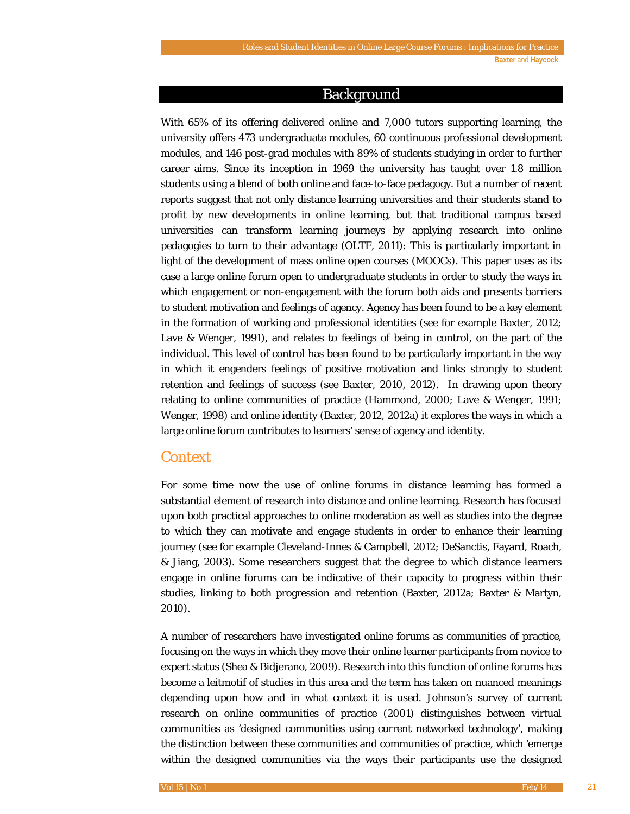#### Background

With 65% of its offering delivered online and 7,000 tutors supporting learning, the university offers 473 undergraduate modules, 60 continuous professional development modules, and 146 post-grad modules with 89% of students studying in order to further career aims. Since its inception in 1969 the university has taught over 1.8 million students using a blend of both online and face-to-face pedagogy. But a number of recent reports suggest that not only distance learning universities and their students stand to profit by new developments in online learning, but that traditional campus based universities can transform learning journeys by applying research into online pedagogies to turn to their advantage (OLTF, 2011): This is particularly important in light of the development of mass online open courses (MOOCs). This paper uses as its case a large online forum open to undergraduate students in order to study the ways in which engagement or non-engagement with the forum both aids and presents barriers to student motivation and feelings of agency. Agency has been found to be a key element in the formation of working and professional identities (see for example Baxter, 2012; Lave & Wenger, 1991), and relates to feelings of being in control, on the part of the individual. This level of control has been found to be particularly important in the way in which it engenders feelings of positive motivation and links strongly to student retention and feelings of success (see Baxter, 2010, 2012). In drawing upon theory relating to online communities of practice (Hammond, 2000; Lave & Wenger, 1991; Wenger, 1998) and online identity (Baxter, 2012, 2012a) it explores the ways in which a large online forum contributes to learners' sense of agency and identity.

### **Context**

For some time now the use of online forums in distance learning has formed a substantial element of research into distance and online learning. Research has focused upon both practical approaches to online moderation as well as studies into the degree to which they can motivate and engage students in order to enhance their learning journey (see for example Cleveland-Innes & Campbell, 2012; DeSanctis, Fayard, Roach, & Jiang, 2003). Some researchers suggest that the degree to which distance learners engage in online forums can be indicative of their capacity to progress within their studies, linking to both progression and retention (Baxter, 2012a; Baxter & Martyn, 2010).

A number of researchers have investigated online forums as communities of practice, focusing on the ways in which they move their online learner participants from novice to expert status (Shea & Bidjerano, 2009). Research into this function of online forums has become a leitmotif of studies in this area and the term has taken on nuanced meanings depending upon how and in what context it is used. Johnson's survey of current research on online communities of practice (2001) distinguishes between virtual communities as 'designed communities using current networked technology', making the distinction between these communities and communities of practice, which *'*emerge within the designed communities via the ways their participants use the designed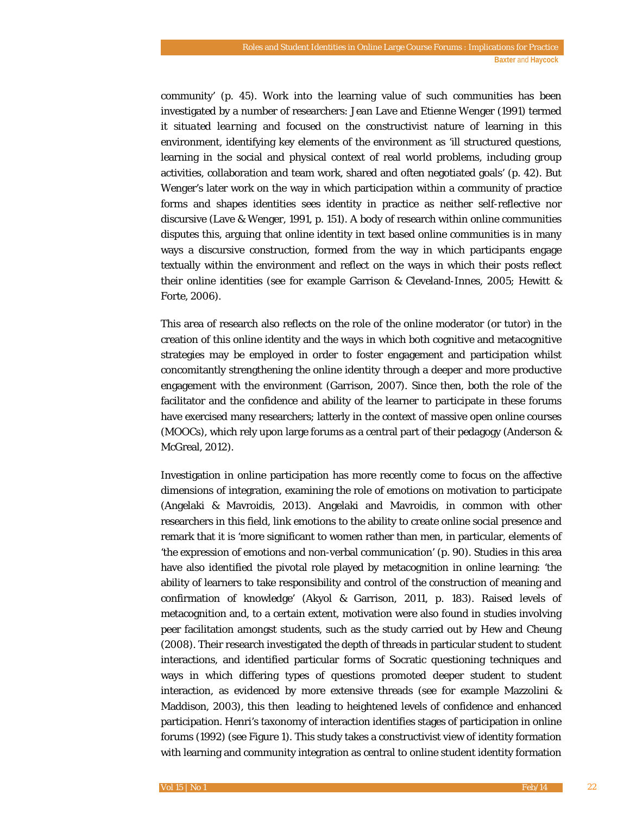community' (p. 45). Work into the learning value of such communities has been investigated by a number of researchers: Jean Lave and Etienne Wenger (1991) termed it *situated learning* and focused on the constructivist nature of learning in this environment, identifying key elements of the environment as 'ill structured questions, learning in the social and physical context of real world problems, including group activities, collaboration and team work, shared and often negotiated goals' (p. 42). But Wenger's later work on the way in which participation within a community of practice forms and shapes identities sees identity in practice as neither self-reflective nor discursive (Lave & Wenger, 1991, p. 151)*.* A body of research within online communities disputes this, arguing that online identity in text based online communities is in many ways a discursive construction, formed from the way in which participants engage textually within the environment and reflect on the ways in which their posts reflect their online identities (see for example Garrison & Cleveland-Innes, 2005; Hewitt & Forte, 2006).

This area of research also reflects on the role of the online moderator (or tutor) in the creation of this online identity and the ways in which both cognitive and metacognitive strategies may be employed in order to foster engagement and participation whilst concomitantly strengthening the online identity through a deeper and more productive engagement with the environment (Garrison, 2007). Since then, both the role of the facilitator and the confidence and ability of the learner to participate in these forums have exercised many researchers; latterly in the context of massive open online courses (MOOCs), which rely upon large forums as a central part of their pedagogy (Anderson & McGreal, 2012).

Investigation in online participation has more recently come to focus on the affective dimensions of integration, examining the role of emotions on motivation to participate (Angelaki & Mavroidis, 2013). Angelaki and Mavroidis, in common with other researchers in this field, link emotions to the ability to create online social presence and remark that it is 'more significant to women rather than men, in particular, elements of 'the expression of emotions and non-verbal communication' (p. 90). Studies in this area have also identified the pivotal role played by metacognition in online learning: 'the ability of learners to take responsibility and control of the construction of meaning and confirmation of knowledge' (Akyol & Garrison, 2011, p. 183). Raised levels of metacognition and, to a certain extent, motivation were also found in studies involving peer facilitation amongst students, such as the study carried out by Hew and Cheung (2008). Their research investigated the depth of threads in particular student to student interactions, and identified particular forms of Socratic questioning techniques and ways in which differing types of questions promoted deeper student to student interaction, as evidenced by more extensive threads (see for example Mazzolini & Maddison, 2003), this then leading to heightened levels of confidence and enhanced participation. Henri's taxonomy of interaction identifies stages of participation in online forums (1992) (see Figure 1). This study takes a constructivist view of identity formation with learning and community integration as central to online student identity formation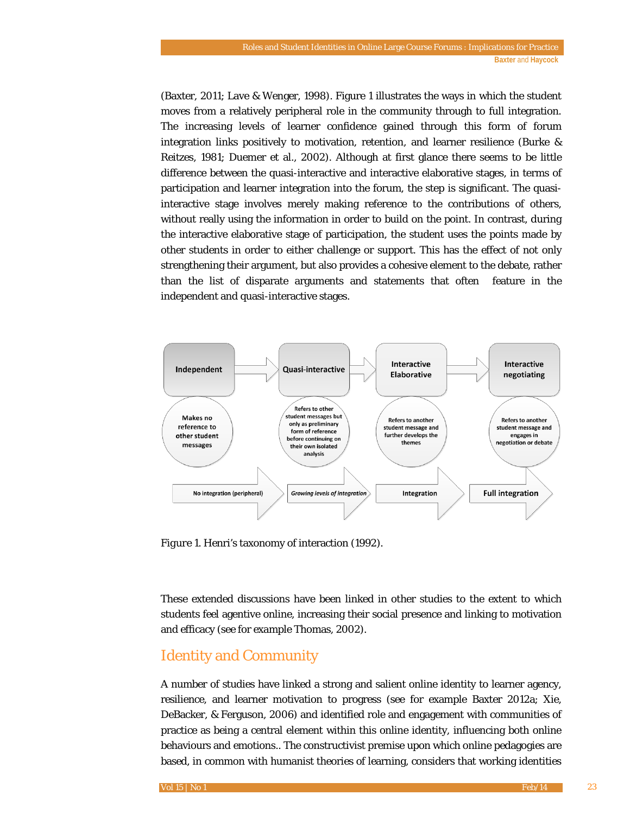(Baxter, 2011; Lave & Wenger, 1998). Figure 1 illustrates the ways in which the student moves from a relatively peripheral role in the community through to full integration. The increasing levels of learner confidence gained through this form of forum integration links positively to motivation, retention, and learner resilience (Burke & Reitzes, 1981; Duemer et al., 2002). Although at first glance there seems to be little difference between the quasi-interactive and interactive elaborative stages, in terms of participation and learner integration into the forum, the step is significant. The quasiinteractive stage involves merely making reference to the contributions of others, without really using the information in order to build on the point. In contrast, during the interactive elaborative stage of participation, the student uses the points made by other students in order to either challenge or support. This has the effect of not only strengthening their argument, but also provides a cohesive element to the debate, rather than the list of disparate arguments and statements that often feature in the independent and quasi-interactive stages.



*Figure 1*. Henri's taxonomy of interaction (1992).

These extended discussions have been linked in other studies to the extent to which students feel agentive online, increasing their social presence and linking to motivation and efficacy (see for example Thomas, 2002).

# Identity and Community

A number of studies have linked a strong and salient online identity to learner agency, resilience, and learner motivation to progress (see for example Baxter 2012a; Xie, DeBacker, & Ferguson, 2006) and identified role and engagement with communities of practice as being a central element within this online identity, influencing both online behaviours and emotions.. The constructivist premise upon which online pedagogies are based, in common with humanist theories of learning, considers that working identities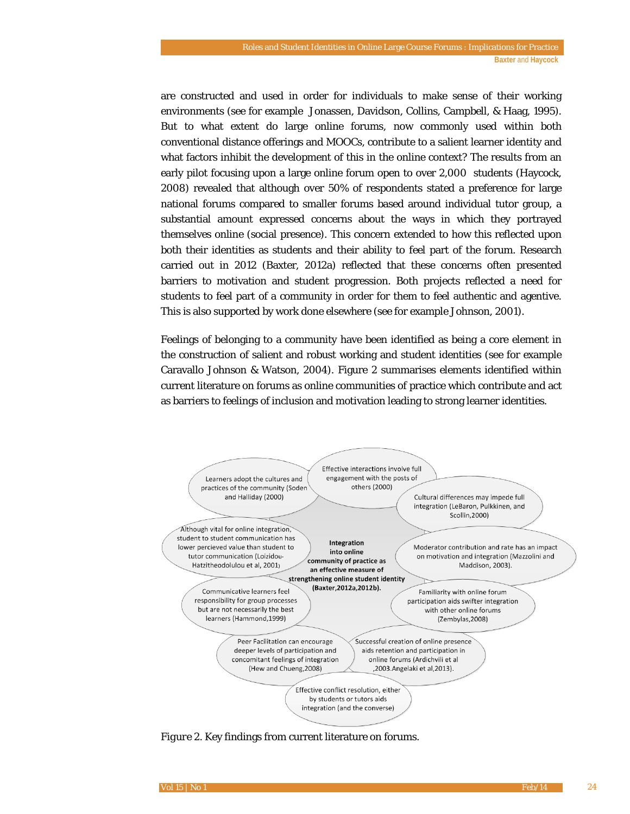are constructed and used in order for individuals to make sense of their working environments (see for example Jonassen, Davidson, Collins, Campbell, & Haag, 1995). But to what extent do large online forums, now commonly used within both conventional distance offerings and MOOCs, contribute to a salient learner identity and what factors inhibit the development of this in the online context? The results from an early pilot focusing upon a large online forum open to over 2,000 students (Haycock, 2008) revealed that although over 50% of respondents stated a preference for large national forums compared to smaller forums based around individual tutor group, a substantial amount expressed concerns about the ways in which they portrayed themselves online (social presence). This concern extended to how this reflected upon both their identities as students and their ability to feel part of the forum. Research carried out in 2012 (Baxter, 2012a) reflected that these concerns often presented barriers to motivation and student progression. Both projects reflected a need for students to feel part of a community in order for them to feel authentic and agentive. This is also supported by work done elsewhere (see for example Johnson, 2001).

Feelings of belonging to a community have been identified as being a core element in the construction of salient and robust working and student identities (see for example Caravallo Johnson & Watson, 2004). Figure 2 summarises elements identified within current literature on forums as online communities of practice which contribute and act as barriers to feelings of inclusion and motivation leading to strong learner identities.



*Figure 2*. Key findings from current literature on forums.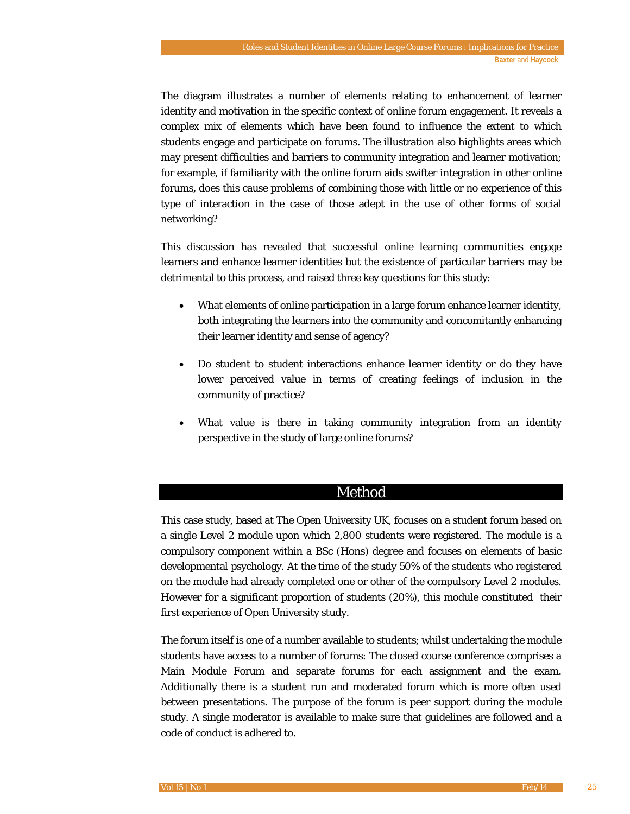The diagram illustrates a number of elements relating to enhancement of learner identity and motivation in the specific context of online forum engagement. It reveals a complex mix of elements which have been found to influence the extent to which students engage and participate on forums. The illustration also highlights areas which may present difficulties and barriers to community integration and learner motivation; for example, if familiarity with the online forum aids swifter integration in other online forums, does this cause problems of combining those with little or no experience of this type of interaction in the case of those adept in the use of other forms of social networking?

This discussion has revealed that successful online learning communities engage learners and enhance learner identities but the existence of particular barriers may be detrimental to this process, and raised three key questions for this study:

- What elements of online participation in a large forum enhance learner identity, both integrating the learners into the community and concomitantly enhancing their learner identity and sense of agency?
- Do student to student interactions enhance learner identity or do they have lower perceived value in terms of creating feelings of inclusion in the community of practice?
- What value is there in taking community integration from an identity perspective in the study of large online forums?

#### Method

This case study, based at The Open University UK, focuses on a student forum based on a single Level 2 module upon which 2,800 students were registered. The module is a compulsory component within a BSc (Hons) degree and focuses on elements of basic developmental psychology. At the time of the study 50% of the students who registered on the module had already completed one or other of the compulsory Level 2 modules. However for a significant proportion of students (20%), this module constituted their first experience of Open University study.

The forum itself is one of a number available to students; whilst undertaking the module students have access to a number of forums: The closed course conference comprises a Main Module Forum and separate forums for each assignment and the exam. Additionally there is a student run and moderated forum which is more often used between presentations. The purpose of the forum is peer support during the module study. A single moderator is available to make sure that guidelines are followed and a code of conduct is adhered to.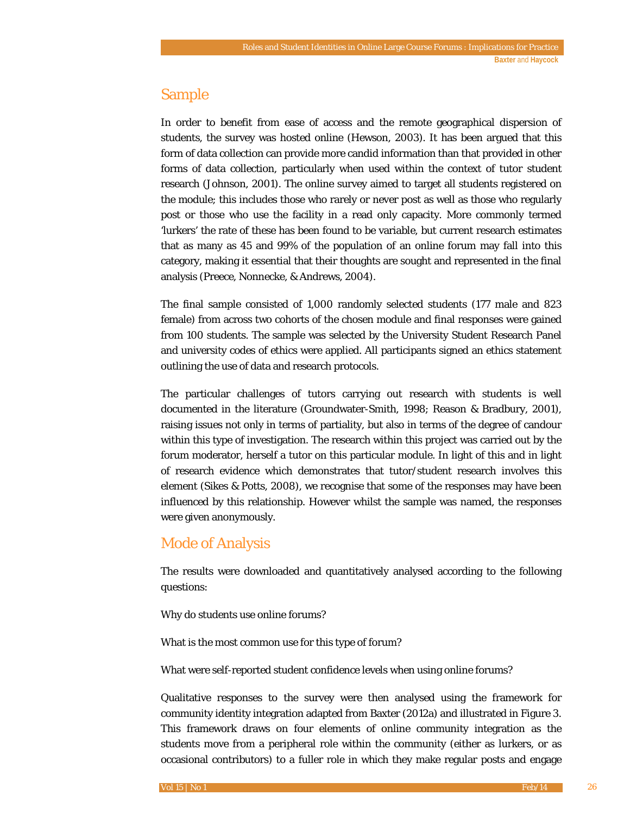# Sample

In order to benefit from ease of access and the remote geographical dispersion of students, the survey was hosted online (Hewson, 2003). It has been argued that this form of data collection can provide more candid information than that provided in other forms of data collection, particularly when used within the context of tutor student research (Johnson, 2001). The online survey aimed to target all students registered on the module; this includes those who rarely or never post as well as those who regularly post or those who use the facility in a read only capacity. More commonly termed 'lurkers' the rate of these has been found to be variable, but current research estimates that as many as 45 and 99% of the population of an online forum may fall into this category, making it essential that their thoughts are sought and represented in the final analysis (Preece, Nonnecke, & Andrews, 2004).

The final sample consisted of 1,000 randomly selected students (177 male and 823 female) from across two cohorts of the chosen module and final responses were gained from 100 students. The sample was selected by the University Student Research Panel and university codes of ethics were applied. All participants signed an ethics statement outlining the use of data and research protocols.

The particular challenges of tutors carrying out research with students is well documented in the literature (Groundwater-Smith, 1998; Reason & Bradbury, 2001), raising issues not only in terms of partiality, but also in terms of the degree of candour within this type of investigation. The research within this project was carried out by the forum moderator, herself a tutor on this particular module. In light of this and in light of research evidence which demonstrates that tutor/student research involves this element (Sikes & Potts, 2008), we recognise that some of the responses may have been influenced by this relationship. However whilst the sample was named, the responses were given anonymously.

## Mode of Analysis

The results were downloaded and quantitatively analysed according to the following questions:

Why do students use online forums?

What is the most common use for this type of forum?

What were self-reported student confidence levels when using online forums?

Qualitative responses to the survey were then analysed using the framework for community identity integration adapted from Baxter (2012a) and illustrated in Figure 3. This framework draws on four elements of online community integration as the students move from a peripheral role within the community (either as lurkers, or as occasional contributors) to a fuller role in which they make regular posts and engage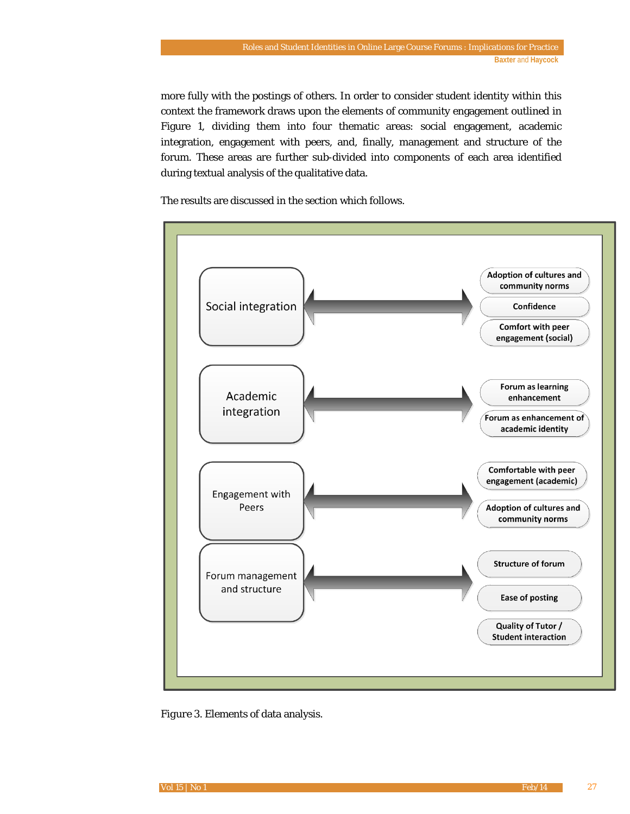more fully with the postings of others. In order to consider student identity within this context the framework draws upon the elements of community engagement outlined in Figure 1, dividing them into four thematic areas: social engagement, academic integration, engagement with peers, and, finally, management and structure of the forum. These areas are further sub-divided into components of each area identified during textual analysis of the qualitative data.

The results are discussed in the section which follows.



*Figure 3*. Elements of data analysis.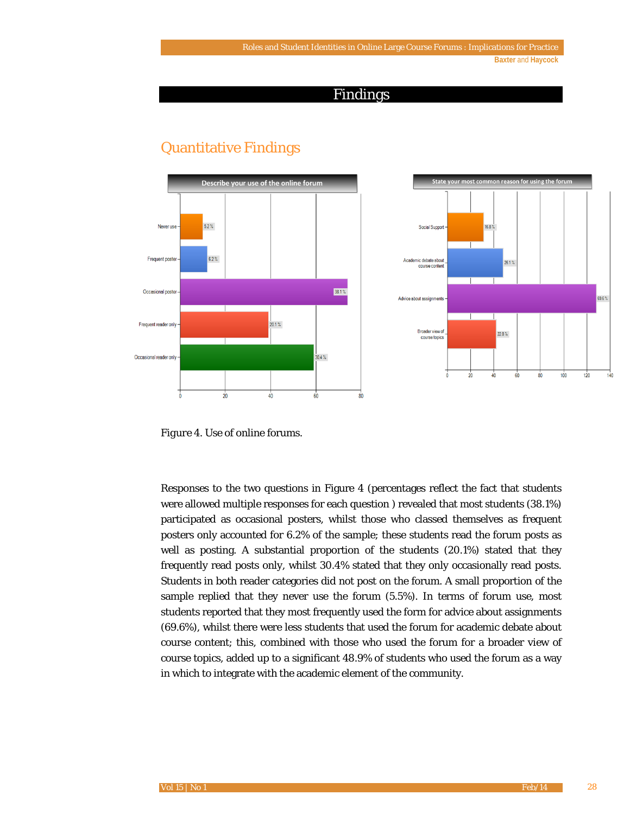### Findings

# Quantitative Findings





*Figure 4*. Use of online forums.

Responses to the two questions in Figure 4 (percentages reflect the fact that students were allowed multiple responses for each question ) revealed that most students (38.1%) participated as occasional posters, whilst those who classed themselves as frequent posters only accounted for 6.2% of the sample; these students read the forum posts as well as posting. A substantial proportion of the students (20.1%) stated that they frequently read posts only, whilst 30.4% stated that they only occasionally read posts. Students in both reader categories did not post on the forum. A small proportion of the sample replied that they never use the forum (5.5%). In terms of forum use, most students reported that they most frequently used the form for advice about assignments (69.6%), whilst there were less students that used the forum for academic debate about course content; this, combined with those who used the forum for a broader view of course topics, added up to a significant 48.9% of students who used the forum as a way in which to integrate with the academic element of the community.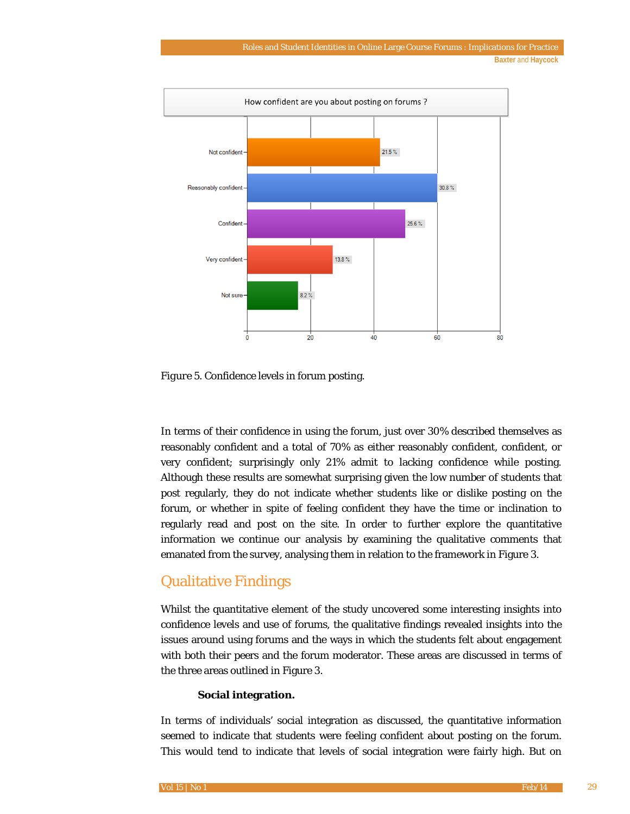

*Figure 5*. Confidence levels in forum posting.

In terms of their confidence in using the forum, just over 30% described themselves as reasonably confident and a total of 70% as either reasonably confident, confident, or very confident; surprisingly only 21% admit to lacking confidence while posting. Although these results are somewhat surprising given the low number of students that post regularly, they do not indicate whether students like or dislike posting on the forum, or whether in spite of feeling confident they have the time or inclination to regularly read and post on the site. In order to further explore the quantitative information we continue our analysis by examining the qualitative comments that emanated from the survey, analysing them in relation to the framework in Figure 3.

### Qualitative Findings

Whilst the quantitative element of the study uncovered some interesting insights into confidence levels and use of forums, the qualitative findings revealed insights into the issues around using forums and the ways in which the students felt about engagement with both their peers and the forum moderator. These areas are discussed in terms of the three areas outlined in Figure 3.

#### **Social integration.**

In terms of individuals' social integration as discussed, the quantitative information seemed to indicate that students were feeling confident about posting on the forum. This would tend to indicate that levels of social integration were fairly high. But on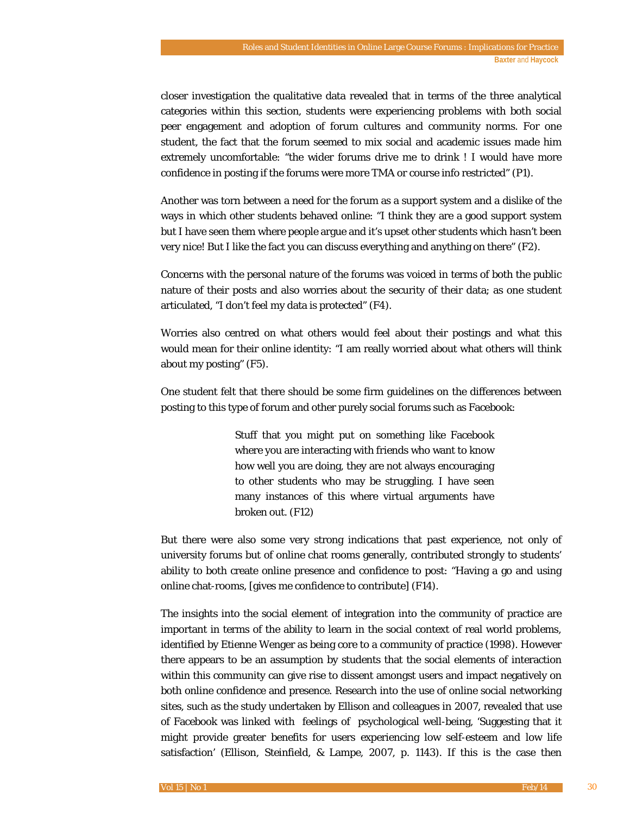closer investigation the qualitative data revealed that in terms of the three analytical categories within this section, students were experiencing problems with both social peer engagement and adoption of forum cultures and community norms. For one student, the fact that the forum seemed to mix social and academic issues made him extremely uncomfortable: "the wider forums drive me to drink ! I would have more confidence in posting if the forums were more TMA or course info restricted" (P1).

Another was torn between a need for the forum as a support system and a dislike of the ways in which other students behaved online: "I think they are a good support system but I have seen them where people argue and it's upset other students which hasn't been very nice! But I like the fact you can discuss everything and anything on there" (F2).

Concerns with the personal nature of the forums was voiced in terms of both the public nature of their posts and also worries about the security of their data; as one student articulated, "I don't feel my data is protected" (F4).

Worries also centred on what others would feel about their postings and what this would mean for their online identity: "I am really worried about what others will think about my posting" (F5).

One student felt that there should be some firm guidelines on the differences between posting to this type of forum and other purely social forums such as Facebook:

> Stuff that you might put on something like Facebook where you are interacting with friends who want to know how well you are doing, they are not always encouraging to other students who may be struggling. I have seen many instances of this where virtual arguments have broken out. (F12)

But there were also some very strong indications that past experience, not only of university forums but of online chat rooms generally, contributed strongly to students' ability to both create online presence and confidence to post: "Having a go and using online chat-rooms, [gives me confidence to contribute] (F14).

The insights into the social element of integration into the community of practice are important in terms of the ability to learn in the social context of real world problems, identified by Etienne Wenger as being core to a community of practice (1998). However there appears to be an assumption by students that the social elements of interaction within this community can give rise to dissent amongst users and impact negatively on both online confidence and presence. Research into the use of online social networking sites, such as the study undertaken by Ellison and colleagues in 2007, revealed that use of Facebook was linked with feelings of psychological well-being, 'Suggesting that it might provide greater benefits for users experiencing low self-esteem and low life satisfaction' (Ellison, Steinfield, & Lampe, 2007, p. 1143). If this is the case then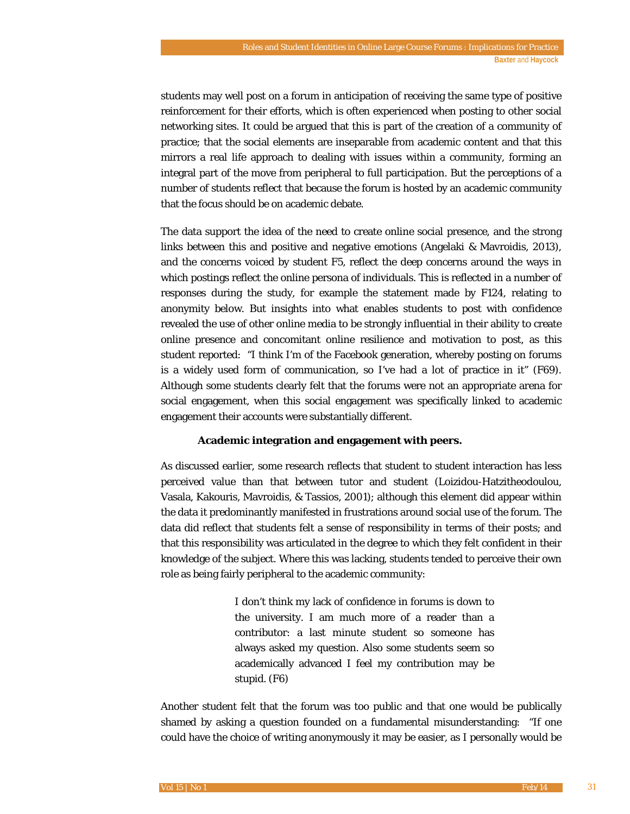students may well post on a forum in anticipation of receiving the same type of positive reinforcement for their efforts, which is often experienced when posting to other social networking sites. It could be argued that this is part of the creation of a community of practice; that the social elements are inseparable from academic content and that this mirrors a real life approach to dealing with issues within a community, forming an integral part of the move from peripheral to full participation. But the perceptions of a number of students reflect that because the forum is hosted by an academic community that the focus should be on academic debate.

The data support the idea of the need to create online social presence, and the strong links between this and positive and negative emotions (Angelaki & Mavroidis, 2013), and the concerns voiced by student F5, reflect the deep concerns around the ways in which postings reflect the online persona of individuals. This is reflected in a number of responses during the study, for example the statement made by F124, relating to anonymity below. But insights into what enables students to post with confidence revealed the use of other online media to be strongly influential in their ability to create online presence and concomitant online resilience and motivation to post, as this student reported: "I think I'm of the Facebook generation, whereby posting on forums is a widely used form of communication, so I've had a lot of practice in it" (F69). Although some students clearly felt that the forums were not an appropriate arena for social engagement, when this social engagement was specifically linked to academic engagement their accounts were substantially different.

#### **Academic integration and engagement with peers.**

As discussed earlier, some research reflects that student to student interaction has less perceived value than that between tutor and student (Loizidou-Hatzitheodoulou, Vasala, Kakouris, Mavroidis, & Tassios, 2001); although this element did appear within the data it predominantly manifested in frustrations around social use of the forum. The data did reflect that students felt a sense of responsibility in terms of their posts; and that this responsibility was articulated in the degree to which they felt confident in their knowledge of the subject. Where this was lacking, students tended to perceive their own role as being fairly peripheral to the academic community:

> I don't think my lack of confidence in forums is down to the university. I am much more of a reader than a contributor: a last minute student so someone has always asked my question. Also some students seem so academically advanced I feel my contribution may be stupid. (F6)

Another student felt that the forum was too public and that one would be publically shamed by asking a question founded on a fundamental misunderstanding: "If one could have the choice of writing anonymously it may be easier, as I personally would be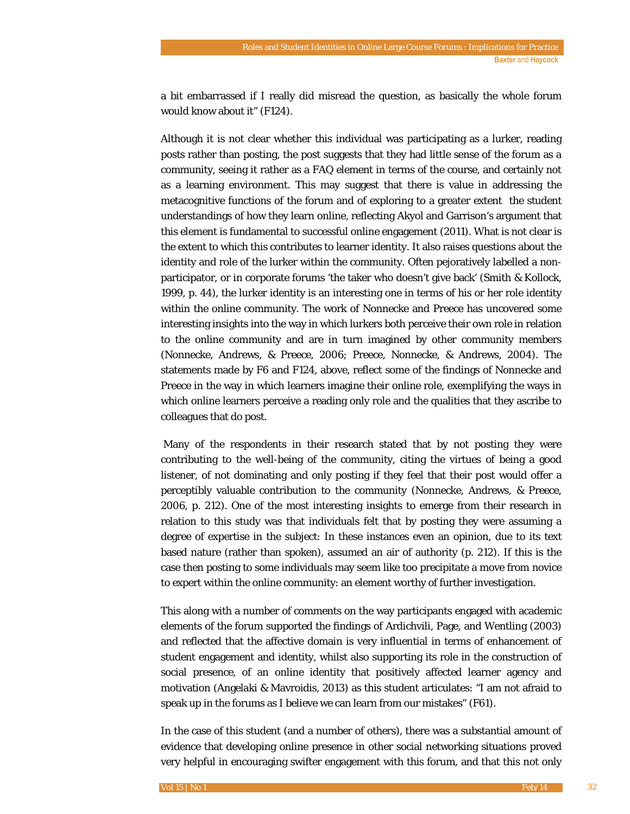a bit embarrassed if I really did misread the question, as basically the whole forum would know about it" (F124).

Although it is not clear whether this individual was participating as a lurker, reading posts rather than posting, the post suggests that they had little sense of the forum as a community, seeing it rather as a FAQ element in terms of the course, and certainly not as a learning environment. This may suggest that there is value in addressing the metacognitive functions of the forum and of exploring to a greater extent the student understandings of how they learn online, reflecting Akyol and Garrison's argument that this element is fundamental to successful online engagement (2011). What is not clear is the extent to which this contributes to learner identity. It also raises questions about the identity and role of the lurker within the community. Often pejoratively labelled a nonparticipator, or in corporate forums 'the taker who doesn't give back' (Smith & Kollock, 1999, p. 44), the lurker identity is an interesting one in terms of his or her role identity within the online community. The work of Nonnecke and Preece has uncovered some interesting insights into the way in which lurkers both perceive their own role in relation to the online community and are in turn imagined by other community members (Nonnecke, Andrews, & Preece, 2006; Preece, Nonnecke, & Andrews, 2004). The statements made by F6 and F124, above, reflect some of the findings of Nonnecke and Preece in the way in which learners imagine their online role, exemplifying the ways in which online learners perceive a reading only role and the qualities that they ascribe to colleagues that do post.

Many of the respondents in their research stated that by not posting they were contributing to the well-being of the community, citing the virtues of being a good listener, of not dominating and only posting if they feel that their post would offer a perceptibly valuable contribution to the community (Nonnecke, Andrews, & Preece, 2006, p. 212). One of the most interesting insights to emerge from their research in relation to this study was that individuals felt that by posting they were assuming a degree of expertise in the subject: In these instances even an opinion, due to its text based nature (rather than spoken), assumed an air of authority (p. 212). If this is the case then posting to some individuals may seem like too precipitate a move from novice to expert within the online community: an element worthy of further investigation.

This along with a number of comments on the way participants engaged with academic elements of the forum supported the findings of Ardichvili, Page, and Wentling (2003) and reflected that the affective domain is very influential in terms of enhancement of student engagement and identity, whilst also supporting its role in the construction of social presence, of an online identity that positively affected learner agency and motivation (Angelaki & Mavroidis, 2013) as this student articulates: "I am not afraid to speak up in the forums as I believe we can learn from our mistakes" (F61).

In the case of this student (and a number of others), there was a substantial amount of evidence that developing online presence in other social networking situations proved very helpful in encouraging swifter engagement with this forum, and that this not only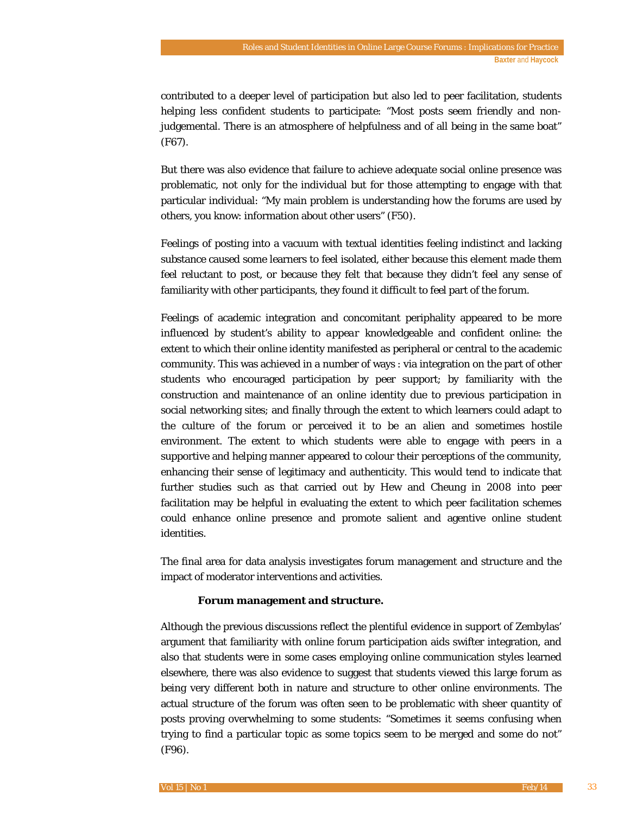contributed to a deeper level of participation but also led to peer facilitation, students helping less confident students to participate: "Most posts seem friendly and nonjudgemental. There is an atmosphere of helpfulness and of all being in the same boat" (F67).

But there was also evidence that failure to achieve adequate social online presence was problematic, not only for the individual but for those attempting to engage with that particular individual: "My main problem is understanding how the forums are used by others, you know: information about other users" (F50).

Feelings of posting into a vacuum with textual identities feeling indistinct and lacking substance caused some learners to feel isolated, either because this element made them feel reluctant to post, or because they felt that because they didn't feel any sense of familiarity with other participants, they found it difficult to feel part of the forum.

Feelings of academic integration and concomitant periphality appeared to be more influenced by student's ability to *appear* knowledgeable and confident online: the extent to which their online identity manifested as peripheral or central to the academic community. This was achieved in a number of ways : via integration on the part of other students who encouraged participation by peer support; by familiarity with the construction and maintenance of an online identity due to previous participation in social networking sites; and finally through the extent to which learners could adapt to the culture of the forum or perceived it to be an alien and sometimes hostile environment. The extent to which students were able to engage with peers in a supportive and helping manner appeared to colour their perceptions of the community, enhancing their sense of legitimacy and authenticity. This would tend to indicate that further studies such as that carried out by Hew and Cheung in 2008 into peer facilitation may be helpful in evaluating the extent to which peer facilitation schemes could enhance online presence and promote salient and agentive online student identities.

The final area for data analysis investigates forum management and structure and the impact of moderator interventions and activities.

#### **Forum management and structure.**

Although the previous discussions reflect the plentiful evidence in support of Zembylas' argument that familiarity with online forum participation aids swifter integration, and also that students were in some cases employing online communication styles learned elsewhere, there was also evidence to suggest that students viewed this large forum as being very different both in nature and structure to other online environments. The actual structure of the forum was often seen to be problematic with sheer quantity of posts proving overwhelming to some students: "Sometimes it seems confusing when trying to find a particular topic as some topics seem to be merged and some do not" (F96).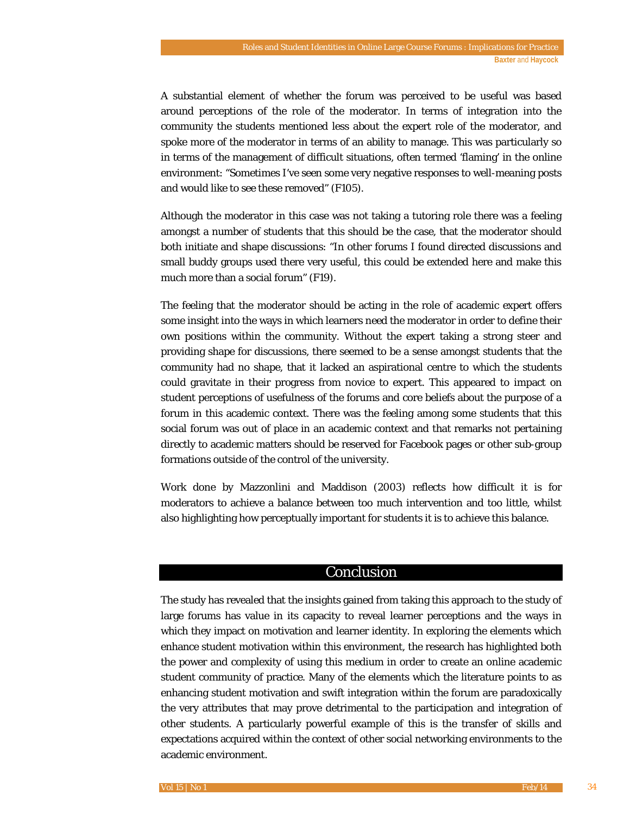A substantial element of whether the forum was perceived to be useful was based around perceptions of the role of the moderator. In terms of integration into the community the students mentioned less about the expert role of the moderator, and spoke more of the moderator in terms of an ability to manage. This was particularly so in terms of the management of difficult situations, often termed 'flaming' in the online environment: "Sometimes I've seen some very negative responses to well-meaning posts and would like to see these removed" (F105).

Although the moderator in this case was not taking a tutoring role there was a feeling amongst a number of students that this should be the case, that the moderator should both initiate and shape discussions: "In other forums I found directed discussions and small buddy groups used there very useful, this could be extended here and make this much more than a social forum" (F19).

The feeling that the moderator should be acting in the role of academic expert offers some insight into the ways in which learners need the moderator in order to define their own positions within the community. Without the expert taking a strong steer and providing shape for discussions, there seemed to be a sense amongst students that the community had no shape, that it lacked an aspirational centre to which the students could gravitate in their progress from novice to expert. This appeared to impact on student perceptions of usefulness of the forums and core beliefs about the purpose of a forum in this academic context. There was the feeling among some students that this social forum was out of place in an academic context and that remarks not pertaining directly to academic matters should be reserved for Facebook pages or other sub-group formations outside of the control of the university.

Work done by Mazzonlini and Maddison (2003) reflects how difficult it is for moderators to achieve a balance between too much intervention and too little, whilst also highlighting how perceptually important for students it is to achieve this balance.

### Conclusion

The study has revealed that the insights gained from taking this approach to the study of large forums has value in its capacity to reveal learner perceptions and the ways in which they impact on motivation and learner identity. In exploring the elements which enhance student motivation within this environment, the research has highlighted both the power and complexity of using this medium in order to create an online academic student community of practice. Many of the elements which the literature points to as enhancing student motivation and swift integration within the forum are paradoxically the very attributes that may prove detrimental to the participation and integration of other students. A particularly powerful example of this is the transfer of skills and expectations acquired within the context of other social networking environments to the academic environment.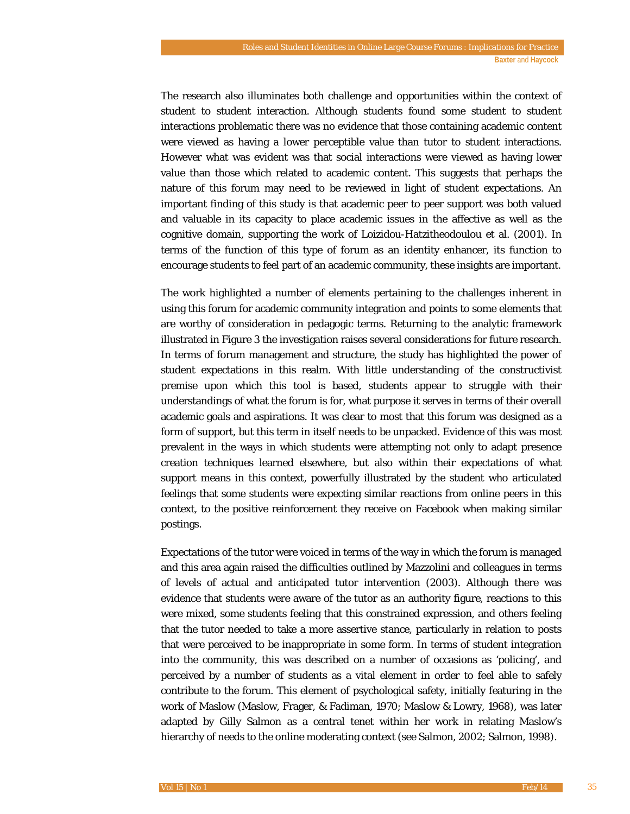The research also illuminates both challenge and opportunities within the context of student to student interaction. Although students found some student to student interactions problematic there was no evidence that those containing academic content were viewed as having a lower perceptible value than tutor to student interactions. However what was evident was that social interactions were viewed as having lower value than those which related to academic content. This suggests that perhaps the nature of this forum may need to be reviewed in light of student expectations. An important finding of this study is that academic peer to peer support was both valued and valuable in its capacity to place academic issues in the affective as well as the cognitive domain, supporting the work of Loizidou-Hatzitheodoulou et al. (2001). In terms of the function of this type of forum as an identity enhancer, its function to encourage students to feel part of an academic community, these insights are important.

The work highlighted a number of elements pertaining to the challenges inherent in using this forum for academic community integration and points to some elements that are worthy of consideration in pedagogic terms. Returning to the analytic framework illustrated in Figure 3 the investigation raises several considerations for future research. In terms of forum management and structure, the study has highlighted the power of student expectations in this realm. With little understanding of the constructivist premise upon which this tool is based, students appear to struggle with their understandings of what the forum is for, what purpose it serves in terms of their overall academic goals and aspirations. It was clear to most that this forum was designed as a form of support, but this term in itself needs to be unpacked. Evidence of this was most prevalent in the ways in which students were attempting not only to adapt presence creation techniques learned elsewhere, but also within their expectations of what support means in this context, powerfully illustrated by the student who articulated feelings that some students were expecting similar reactions from online peers in this context, to the positive reinforcement they receive on Facebook when making similar postings.

Expectations of the tutor were voiced in terms of the way in which the forum is managed and this area again raised the difficulties outlined by Mazzolini and colleagues in terms of levels of actual and anticipated tutor intervention (2003). Although there was evidence that students were aware of the tutor as an authority figure, reactions to this were mixed, some students feeling that this constrained expression, and others feeling that the tutor needed to take a more assertive stance, particularly in relation to posts that were perceived to be inappropriate in some form. In terms of student integration into the community, this was described on a number of occasions as 'policing', and perceived by a number of students as a vital element in order to feel able to safely contribute to the forum. This element of psychological safety, initially featuring in the work of Maslow (Maslow, Frager, & Fadiman, 1970; Maslow & Lowry, 1968), was later adapted by Gilly Salmon as a central tenet within her work in relating Maslow's hierarchy of needs to the online moderating context (see Salmon, 2002; Salmon, 1998).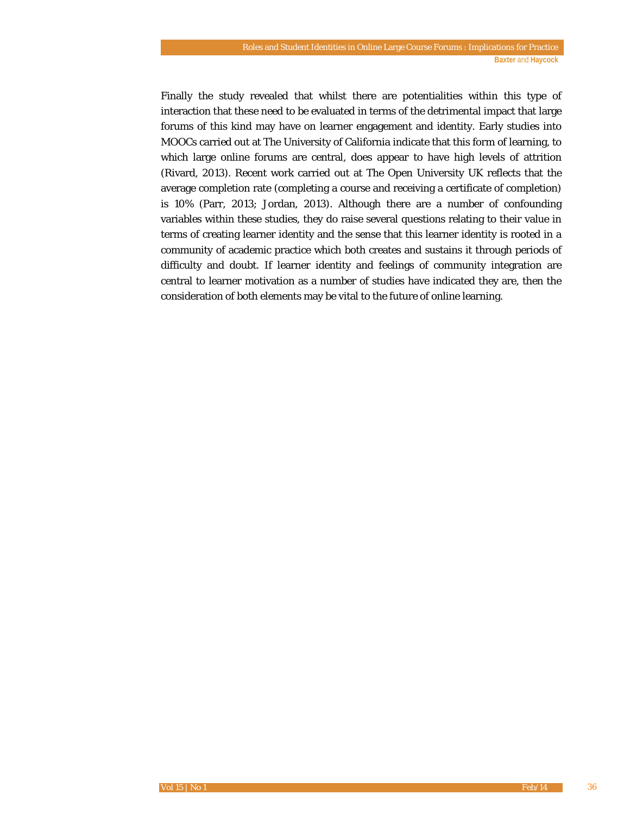Finally the study revealed that whilst there are potentialities within this type of interaction that these need to be evaluated in terms of the detrimental impact that large forums of this kind may have on learner engagement and identity. Early studies into MOOCs carried out at The University of California indicate that this form of learning, to which large online forums are central, does appear to have high levels of attrition (Rivard, 2013). Recent work carried out at The Open University UK reflects that the average completion rate (completing a course and receiving a certificate of completion) is 10% (Parr, 2013; Jordan, 2013). Although there are a number of confounding variables within these studies, they do raise several questions relating to their value in terms of creating learner identity and the sense that this learner identity is rooted in a community of academic practice which both creates and sustains it through periods of difficulty and doubt. If learner identity and feelings of community integration are central to learner motivation as a number of studies have indicated they are, then the consideration of both elements may be vital to the future of online learning.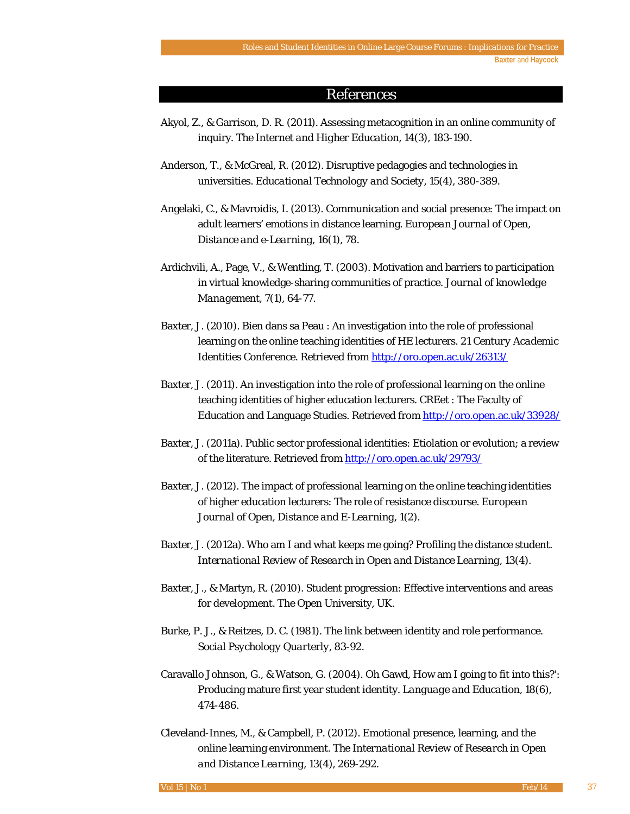#### References

- Akyol, Z., & Garrison, D. R. (2011). Assessing metacognition in an online community of inquiry. *The Internet and Higher Education, 14*(3), 183-190.
- Anderson, T., & McGreal, R. (2012). Disruptive pedagogies and technologies in universities. *Educational Technology and Society, 15(4), 380-389.*
- Angelaki, C., & Mavroidis, I. (2013). Communication and social presence: The impact on adult learners' emotions in distance learning. *European Journal of Open, Distance and e-Learning, 16*(1), 78.
- Ardichvili, A., Page, V., & Wentling, T. (2003). Motivation and barriers to participation in virtual knowledge-sharing communities of practice. *Journal of knowledge Management, 7*(1), 64-77.
- Baxter, J. (2010). Bien dans sa Peau : An investigation into the role of professional learning on the online teaching identities of HE lecturers. *21 Century Academic Identities Conference*. Retrieved from<http://oro.open.ac.uk/26313/>
- Baxter, J. (2011). An investigation into the role of professional learning on the online teaching identities of higher education lecturers. CREet : The Faculty of Education and Language Studies. Retrieved from<http://oro.open.ac.uk/33928/>
- Baxter, J. (2011a). Public sector professional identities: Etiolation or evolution; a review of the literature. Retrieved from<http://oro.open.ac.uk/29793/>
- Baxter, J. (2012). The impact of professional learning on the online teaching identities of higher education lecturers: The role of resistance discourse. *European Journal of Open, Distance and E-Learning, 1*(2).
- Baxter, J. (2012a). Who am I and what keeps me going? Profiling the distance student. *International Review of Research in Open and Distance Learning, 13*(4).
- Baxter, J., & Martyn, R. (2010). Student progression: Effective interventions and areas for development. The Open University, UK.
- Burke, P. J., & Reitzes, D. C. (1981). The link between identity and role performance. *Social Psychology Quarterly*, 83-92.
- Caravallo Johnson, G., & Watson, G. (2004). Oh Gawd, How am I going to fit into this?': Producing mature first year student identity. *Language and Education, 18*(6), 474-486.
- Cleveland-Innes, M., & Campbell, P. (2012). Emotional presence, learning, and the online learning environment. *The International Review of Research in Open and Distance Learning, 13*(4), 269-292.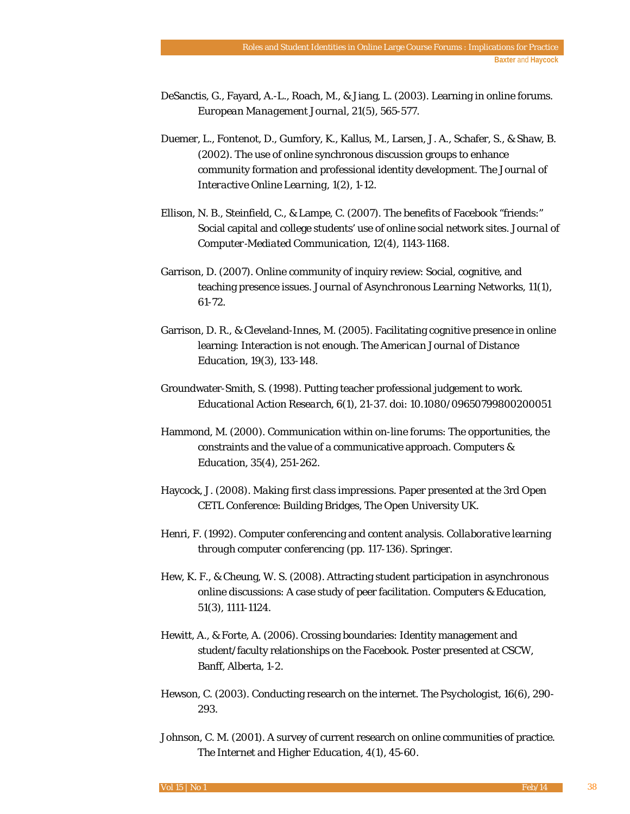- DeSanctis, G., Fayard, A.-L., Roach, M., & Jiang, L. (2003). Learning in online forums. *European Management Journal, 21*(5), 565-577.
- Duemer, L., Fontenot, D., Gumfory, K., Kallus, M., Larsen, J. A., Schafer, S., & Shaw, B. (2002). The use of online synchronous discussion groups to enhance community formation and professional identity development. *The Journal of Interactive Online Learning, 1*(2), 1-12.
- Ellison, N. B., Steinfield, C., & Lampe, C. (2007). The benefits of Facebook "friends:" Social capital and college students' use of online social network sites. *Journal of Computer*‐*Mediated Communication, 12*(4), 1143-1168.
- Garrison, D. (2007). Online community of inquiry review: Social, cognitive, and teaching presence issues. *Journal of Asynchronous Learning Networks, 11*(1), 61-72.
- Garrison, D. R., & Cleveland-Innes, M. (2005). Facilitating cognitive presence in online learning: Interaction is not enough. *The American Journal of Distance Education, 19*(3), 133-148.
- Groundwater-Smith, S. (1998). Putting teacher professional judgement to work. *Educational Action Research, 6*(1), 21-37. doi: 10.1080/09650799800200051
- Hammond, M. (2000). Communication within on-line forums: The opportunities, the constraints and the value of a communicative approach. *Computers & Education, 35*(4), 251-262.
- Haycock, J. (2008). *Making first class impressions*. Paper presented at the 3rd Open CETL Conference: Building Bridges, The Open University UK.
- Henri, F. (1992). Computer conferencing and content analysis. *Collaborative learning through computer conferencing* (pp. 117-136). Springer.
- Hew, K. F., & Cheung, W. S. (2008). Attracting student participation in asynchronous online discussions: A case study of peer facilitation. *Computers & Education, 51*(3), 1111-1124.
- Hewitt, A., & Forte, A. (2006). Crossing boundaries: Identity management and student/faculty relationships on the Facebook. Poster presented at CSCW, Banff, Alberta, 1-2.
- Hewson, C. (2003). Conducting research on the internet. *The Psychologist, 16*(6), 290- 293.
- Johnson, C. M. (2001). A survey of current research on online communities of practice. *The Internet and Higher Education, 4*(1), 45-60.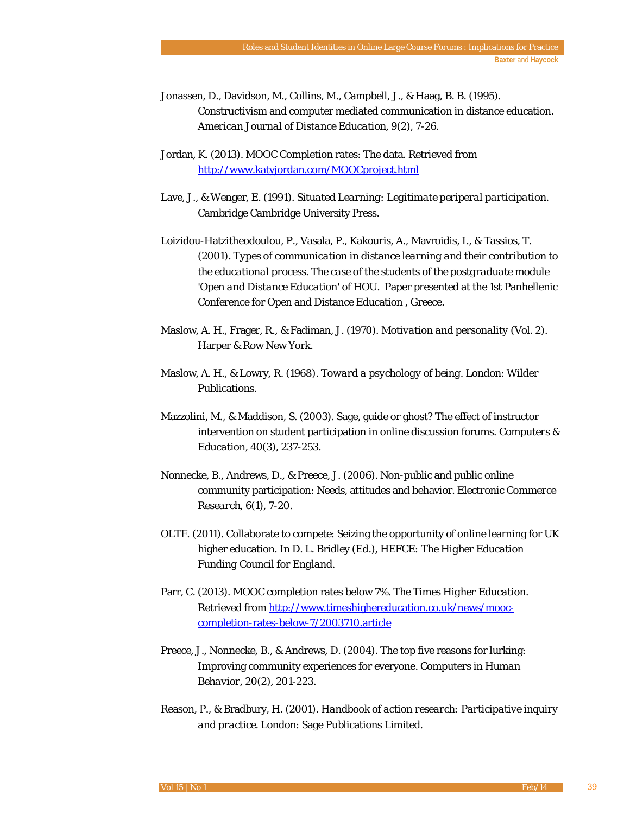- Jonassen, D., Davidson, M., Collins, M., Campbell, J., & Haag, B. B. (1995). Constructivism and computer mediated communication in distance education. *American Journal of Distance Education, 9*(2), 7-26.
- Jordan, K. (2013). MOOC Completion rates: The data. Retrieved from <http://www.katyjordan.com/MOOCproject.html>
- Lave, J., & Wenger, E. (1991). *Situated Learning: Legitimate periperal participation*. Cambridge Cambridge University Press.
- Loizidou-Hatzitheodoulou, P., Vasala, P., Kakouris, A., Mavroidis, I., & Tassios, T. (2001). *Types of communication in distance learning and their contribution to the educational process. The case of the students of the postgraduate module 'Open and Distance Education' of HOU.* Paper presented at the 1st Panhellenic Conference for Open and Distance Education , Greece.
- Maslow, A. H., Frager, R., & Fadiman, J. (1970). *Motivation and personality* (Vol. 2). Harper & Row New York.
- Maslow, A. H., & Lowry, R. (1968). *Toward a psychology of being*. London: Wilder Publications.
- Mazzolini, M., & Maddison, S. (2003). Sage, guide or ghost? The effect of instructor intervention on student participation in online discussion forums. *Computers & Education, 40*(3), 237-253.
- Nonnecke, B., Andrews, D., & Preece, J. (2006). Non-public and public online community participation: Needs, attitudes and behavior. *Electronic Commerce Research, 6*(1), 7-20.
- OLTF. (2011). Collaborate to compete: Seizing the opportunity of online learning for UK higher education. In D. L. Bridley (Ed.), *HEFCE: The Higher Education Funding Council for England*.
- Parr, C. (2013). MOOC completion rates below 7%. *The Times Higher Education.* Retrieved from [http://www.timeshighereducation.co.uk/news/mooc](http://www.timeshighereducation.co.uk/news/mooc-completion-rates-below-7/2003710.article)[completion-rates-below-7/2003710.article](http://www.timeshighereducation.co.uk/news/mooc-completion-rates-below-7/2003710.article)
- Preece, J., Nonnecke, B., & Andrews, D. (2004). The top five reasons for lurking: Improving community experiences for everyone. *Computers in Human Behavior, 20*(2), 201-223.
- Reason, P., & Bradbury, H. (2001). *Handbook of action research: Participative inquiry and practice*. London: Sage Publications Limited.